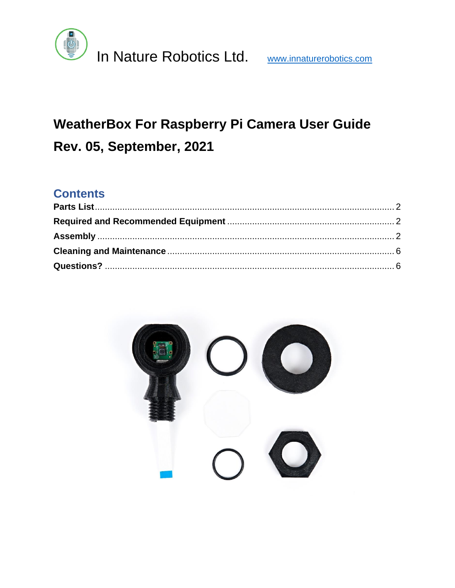

# WeatherBox For Raspberry Pi Camera User Guide Rev. 05, September, 2021

### **Contents**

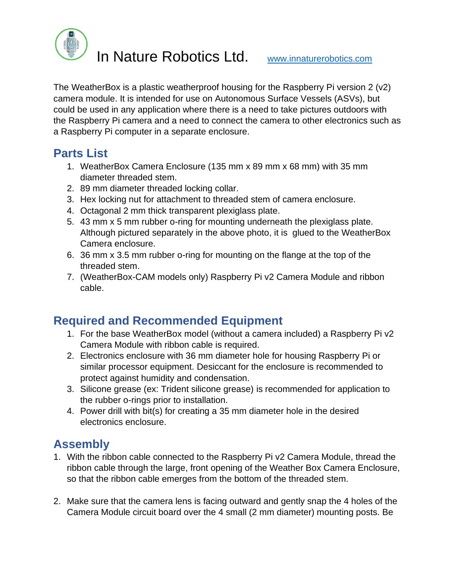

In Nature Robotics Ltd. [www.innaturerobotics.com](http://www.innaturerobotics.com/)

The WeatherBox is a plastic weatherproof housing for the Raspberry Pi version 2 (v2) camera module. It is intended for use on Autonomous Surface Vessels (ASVs), but could be used in any application where there is a need to take pictures outdoors with the Raspberry Pi camera and a need to connect the camera to other electronics such as a Raspberry Pi computer in a separate enclosure.

## <span id="page-1-0"></span>**Parts List**

- 1. WeatherBox Camera Enclosure (135 mm x 89 mm x 68 mm) with 35 mm diameter threaded stem.
- 2. 89 mm diameter threaded locking collar.
- 3. Hex locking nut for attachment to threaded stem of camera enclosure.
- 4. Octagonal 2 mm thick transparent plexiglass plate.
- 5. 43 mm x 5 mm rubber o-ring for mounting underneath the plexiglass plate. Although pictured separately in the above photo, it is glued to the WeatherBox Camera enclosure.
- 6. 36 mm x 3.5 mm rubber o-ring for mounting on the flange at the top of the threaded stem.
- 7. (WeatherBox-CAM models only) Raspberry Pi v2 Camera Module and ribbon cable.

### <span id="page-1-1"></span>**Required and Recommended Equipment**

- 1. For the base WeatherBox model (without a camera included) a Raspberry Pi v2 Camera Module with ribbon cable is required.
- 2. Electronics enclosure with 36 mm diameter hole for housing Raspberry Pi or similar processor equipment. Desiccant for the enclosure is recommended to protect against humidity and condensation.
- 3. Silicone grease (ex: Trident silicone grease) is recommended for application to the rubber o-rings prior to installation.
- 4. Power drill with bit(s) for creating a 35 mm diameter hole in the desired electronics enclosure.

# <span id="page-1-2"></span>**Assembly**

- 1. With the ribbon cable connected to the Raspberry Pi v2 Camera Module, thread the ribbon cable through the large, front opening of the Weather Box Camera Enclosure, so that the ribbon cable emerges from the bottom of the threaded stem.
- 2. Make sure that the camera lens is facing outward and gently snap the 4 holes of the Camera Module circuit board over the 4 small (2 mm diameter) mounting posts. Be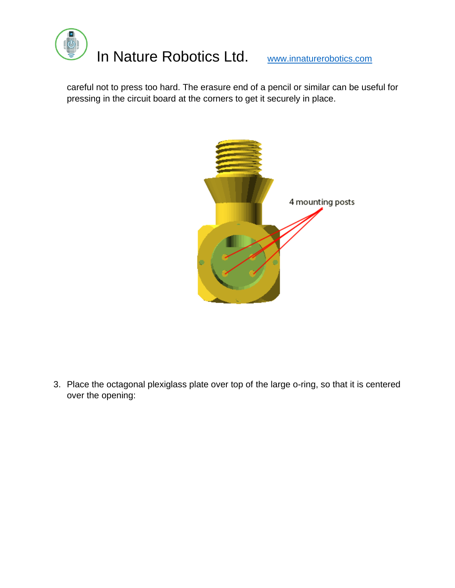

careful not to press too hard. The erasure end of a pencil or similar can be useful for pressing in the circuit board at the corners to get it securely in place.



3. Place the octagonal plexiglass plate over top of the large o-ring, so that it is centered over the opening: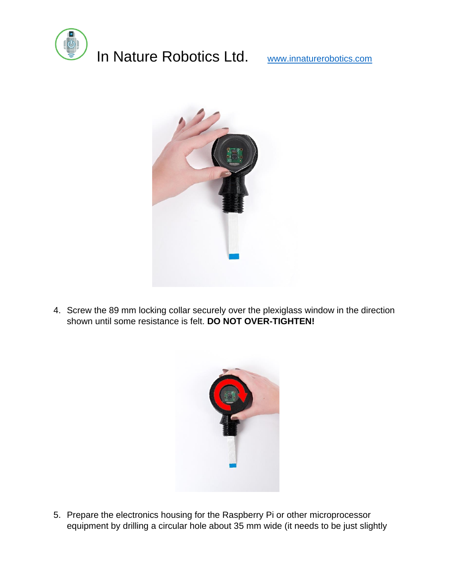

# In Nature Robotics Ltd. [www.innaturerobotics.com](http://www.innaturerobotics.com/)



4. Screw the 89 mm locking collar securely over the plexiglass window in the direction shown until some resistance is felt. **DO NOT OVER-TIGHTEN!**



5. Prepare the electronics housing for the Raspberry Pi or other microprocessor equipment by drilling a circular hole about 35 mm wide (it needs to be just slightly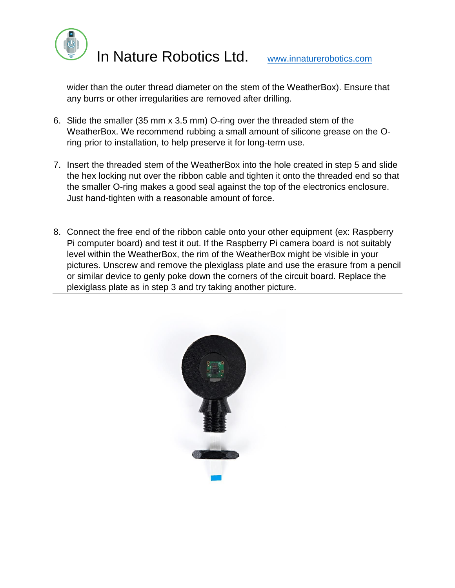

In Nature Robotics Ltd. [www.innaturerobotics.com](http://www.innaturerobotics.com/)

wider than the outer thread diameter on the stem of the WeatherBox). Ensure that any burrs or other irregularities are removed after drilling.

- 6. Slide the smaller (35 mm x 3.5 mm) O-ring over the threaded stem of the WeatherBox. We recommend rubbing a small amount of silicone grease on the Oring prior to installation, to help preserve it for long-term use.
- 7. Insert the threaded stem of the WeatherBox into the hole created in step 5 and slide the hex locking nut over the ribbon cable and tighten it onto the threaded end so that the smaller O-ring makes a good seal against the top of the electronics enclosure. Just hand-tighten with a reasonable amount of force.
- 8. Connect the free end of the ribbon cable onto your other equipment (ex: Raspberry Pi computer board) and test it out. If the Raspberry Pi camera board is not suitably level within the WeatherBox, the rim of the WeatherBox might be visible in your pictures. Unscrew and remove the plexiglass plate and use the erasure from a pencil or similar device to genly poke down the corners of the circuit board. Replace the plexiglass plate as in step 3 and try taking another picture.